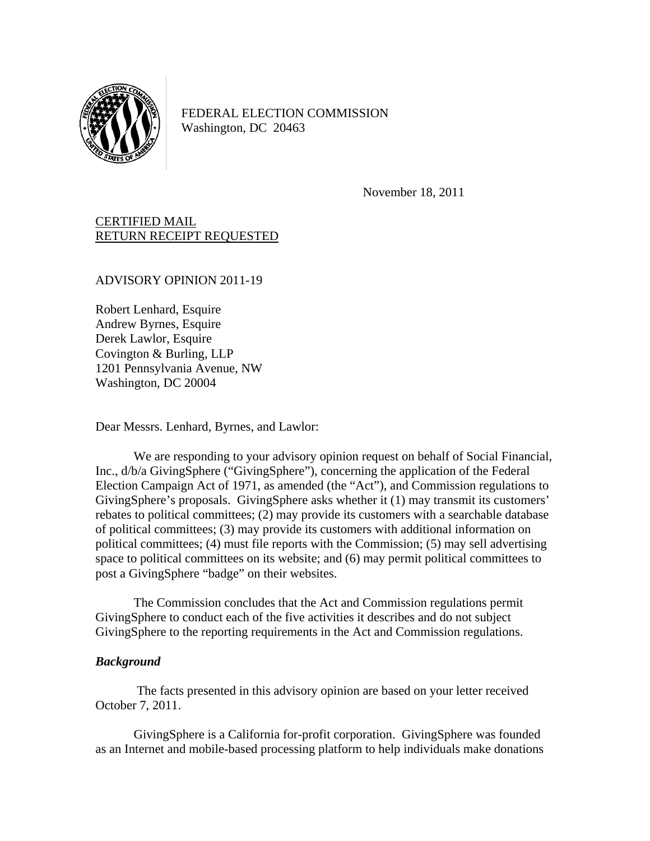

FEDERAL ELECTION COMMISSION Washington, DC 20463

November 18, 2011

# CERTIFIED MAIL RETURN RECEIPT REQUESTED

#### ADVISORY OPINION 2011-19

Robert Lenhard, Esquire Andrew Byrnes, Esquire Derek Lawlor, Esquire Covington & Burling, LLP 1201 Pennsylvania Avenue, NW Washington, DC 20004

Dear Messrs. Lenhard, Byrnes, and Lawlor:

We are responding to your advisory opinion request on behalf of Social Financial, Inc., d/b/a GivingSphere ("GivingSphere"), concerning the application of the Federal Election Campaign Act of 1971, as amended (the "Act"), and Commission regulations to GivingSphere's proposals. GivingSphere asks whether it (1) may transmit its customers' rebates to political committees; (2) may provide its customers with a searchable database of political committees; (3) may provide its customers with additional information on political committees; (4) must file reports with the Commission; (5) may sell advertising space to political committees on its website; and (6) may permit political committees to post a GivingSphere "badge" on their websites.

The Commission concludes that the Act and Commission regulations permit GivingSphere to conduct each of the five activities it describes and do not subject GivingSphere to the reporting requirements in the Act and Commission regulations.

## *Background*

 The facts presented in this advisory opinion are based on your letter received October 7, 2011.

 GivingSphere is a California for-profit corporation. GivingSphere was founded as an Internet and mobile-based processing platform to help individuals make donations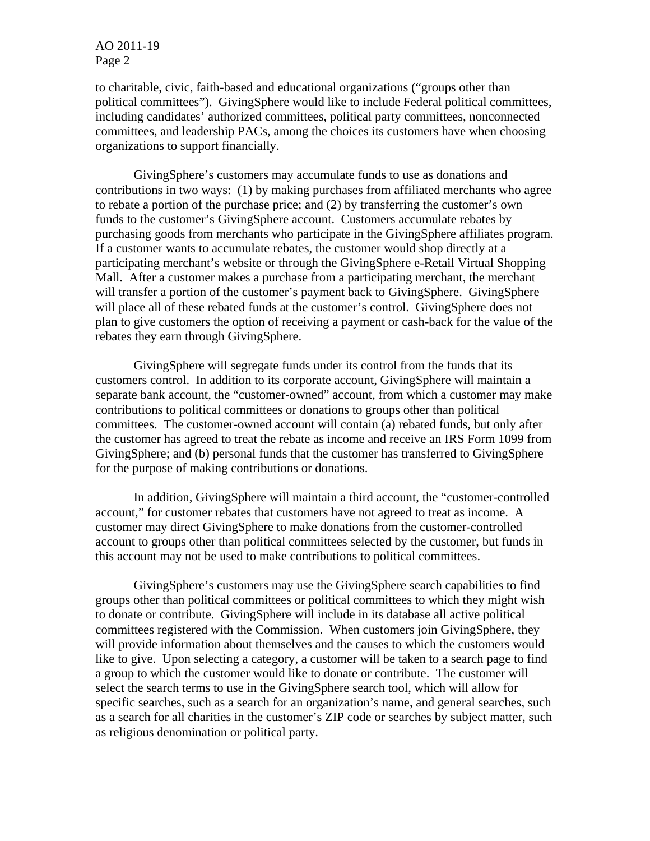to charitable, civic, faith-based and educational organizations ("groups other than political committees"). GivingSphere would like to include Federal political committees, including candidates' authorized committees, political party committees, nonconnected committees, and leadership PACs, among the choices its customers have when choosing organizations to support financially.

GivingSphere's customers may accumulate funds to use as donations and contributions in two ways: (1) by making purchases from affiliated merchants who agree to rebate a portion of the purchase price; and (2) by transferring the customer's own funds to the customer's GivingSphere account. Customers accumulate rebates by purchasing goods from merchants who participate in the GivingSphere affiliates program. If a customer wants to accumulate rebates, the customer would shop directly at a participating merchant's website or through the GivingSphere e-Retail Virtual Shopping Mall. After a customer makes a purchase from a participating merchant, the merchant will transfer a portion of the customer's payment back to GivingSphere. GivingSphere will place all of these rebated funds at the customer's control. GivingSphere does not plan to give customers the option of receiving a payment or cash-back for the value of the rebates they earn through GivingSphere.

 GivingSphere will segregate funds under its control from the funds that its customers control. In addition to its corporate account, GivingSphere will maintain a separate bank account, the "customer-owned" account, from which a customer may make contributions to political committees or donations to groups other than political committees. The customer-owned account will contain (a) rebated funds, but only after the customer has agreed to treat the rebate as income and receive an IRS Form 1099 from GivingSphere; and (b) personal funds that the customer has transferred to GivingSphere for the purpose of making contributions or donations.

 In addition, GivingSphere will maintain a third account, the "customer-controlled account," for customer rebates that customers have not agreed to treat as income. A customer may direct GivingSphere to make donations from the customer-controlled account to groups other than political committees selected by the customer, but funds in this account may not be used to make contributions to political committees.

 GivingSphere's customers may use the GivingSphere search capabilities to find groups other than political committees or political committees to which they might wish to donate or contribute. GivingSphere will include in its database all active political committees registered with the Commission. When customers join GivingSphere, they will provide information about themselves and the causes to which the customers would like to give. Upon selecting a category, a customer will be taken to a search page to find a group to which the customer would like to donate or contribute. The customer will select the search terms to use in the GivingSphere search tool, which will allow for specific searches, such as a search for an organization's name, and general searches, such as a search for all charities in the customer's ZIP code or searches by subject matter, such as religious denomination or political party.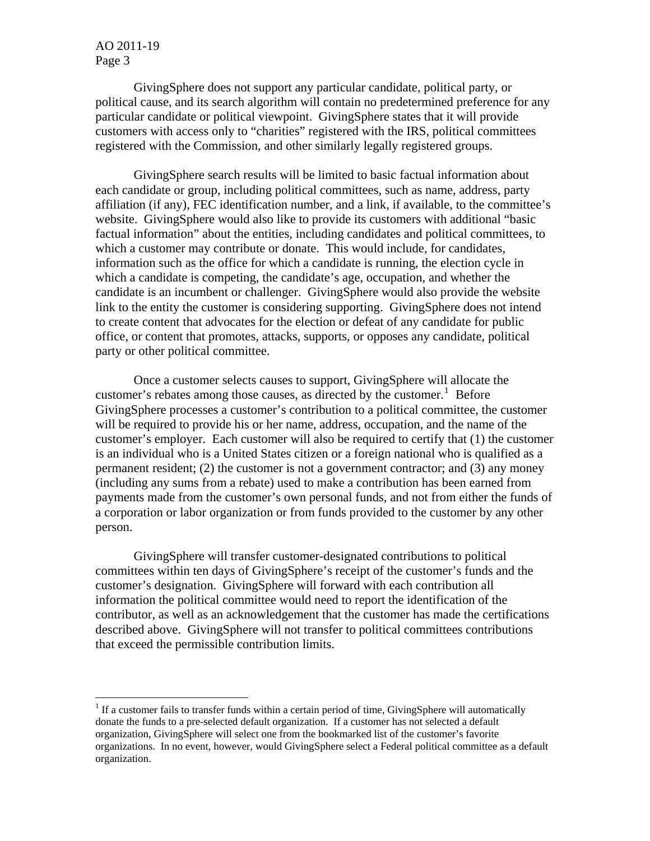$\overline{a}$ 

 GivingSphere does not support any particular candidate, political party, or political cause, and its search algorithm will contain no predetermined preference for any particular candidate or political viewpoint. GivingSphere states that it will provide customers with access only to "charities" registered with the IRS, political committees registered with the Commission, and other similarly legally registered groups.

GivingSphere search results will be limited to basic factual information about each candidate or group, including political committees, such as name, address, party affiliation (if any), FEC identification number, and a link, if available, to the committee's website. GivingSphere would also like to provide its customers with additional "basic factual information" about the entities, including candidates and political committees, to which a customer may contribute or donate. This would include, for candidates, information such as the office for which a candidate is running, the election cycle in which a candidate is competing, the candidate's age, occupation, and whether the candidate is an incumbent or challenger. GivingSphere would also provide the website link to the entity the customer is considering supporting. GivingSphere does not intend to create content that advocates for the election or defeat of any candidate for public office, or content that promotes, attacks, supports, or opposes any candidate, political party or other political committee.

Once a customer selects causes to support, GivingSphere will allocate the customer's rebates among those causes, as directed by the customer.<sup>[1](#page-2-0)</sup> Before GivingSphere processes a customer's contribution to a political committee, the customer will be required to provide his or her name, address, occupation, and the name of the customer's employer. Each customer will also be required to certify that (1) the customer is an individual who is a United States citizen or a foreign national who is qualified as a permanent resident; (2) the customer is not a government contractor; and (3) any money (including any sums from a rebate) used to make a contribution has been earned from payments made from the customer's own personal funds, and not from either the funds of a corporation or labor organization or from funds provided to the customer by any other person.

GivingSphere will transfer customer-designated contributions to political committees within ten days of GivingSphere's receipt of the customer's funds and the customer's designation. GivingSphere will forward with each contribution all information the political committee would need to report the identification of the contributor, as well as an acknowledgement that the customer has made the certifications described above. GivingSphere will not transfer to political committees contributions that exceed the permissible contribution limits.

<span id="page-2-0"></span> $1$  If a customer fails to transfer funds within a certain period of time, GivingSphere will automatically donate the funds to a pre-selected default organization. If a customer has not selected a default organization, GivingSphere will select one from the bookmarked list of the customer's favorite organizations. In no event, however, would GivingSphere select a Federal political committee as a default organization.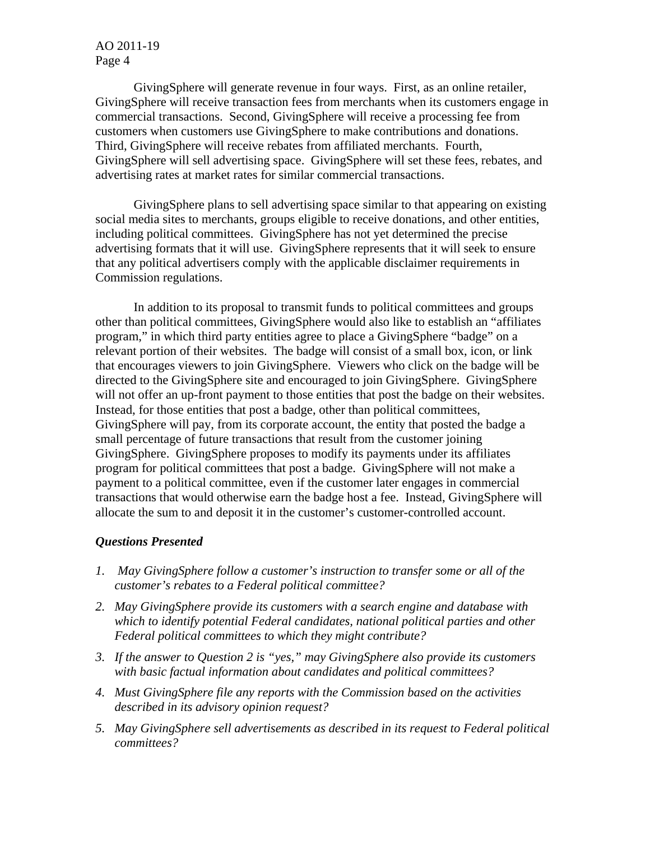GivingSphere will generate revenue in four ways. First, as an online retailer, GivingSphere will receive transaction fees from merchants when its customers engage in commercial transactions. Second, GivingSphere will receive a processing fee from customers when customers use GivingSphere to make contributions and donations. Third, GivingSphere will receive rebates from affiliated merchants. Fourth, GivingSphere will sell advertising space. GivingSphere will set these fees, rebates, and advertising rates at market rates for similar commercial transactions.

GivingSphere plans to sell advertising space similar to that appearing on existing social media sites to merchants, groups eligible to receive donations, and other entities, including political committees. GivingSphere has not yet determined the precise advertising formats that it will use. GivingSphere represents that it will seek to ensure that any political advertisers comply with the applicable disclaimer requirements in Commission regulations.

 In addition to its proposal to transmit funds to political committees and groups other than political committees, GivingSphere would also like to establish an "affiliates program," in which third party entities agree to place a GivingSphere "badge" on a relevant portion of their websites. The badge will consist of a small box, icon, or link that encourages viewers to join GivingSphere. Viewers who click on the badge will be directed to the GivingSphere site and encouraged to join GivingSphere. GivingSphere will not offer an up-front payment to those entities that post the badge on their websites. Instead, for those entities that post a badge, other than political committees, GivingSphere will pay, from its corporate account, the entity that posted the badge a small percentage of future transactions that result from the customer joining GivingSphere. GivingSphere proposes to modify its payments under its affiliates program for political committees that post a badge. GivingSphere will not make a payment to a political committee, even if the customer later engages in commercial transactions that would otherwise earn the badge host a fee. Instead, GivingSphere will allocate the sum to and deposit it in the customer's customer-controlled account.

## *Questions Presented*

- *1. May GivingSphere follow a customer's instruction to transfer some or all of the customer's rebates to a Federal political committee?*
- *2. May GivingSphere provide its customers with a search engine and database with which to identify potential Federal candidates, national political parties and other Federal political committees to which they might contribute?*
- *3. If the answer to Question 2 is "yes," may GivingSphere also provide its customers with basic factual information about candidates and political committees?*
- *4. Must GivingSphere file any reports with the Commission based on the activities described in its advisory opinion request?*
- *5. May GivingSphere sell advertisements as described in its request to Federal political committees?*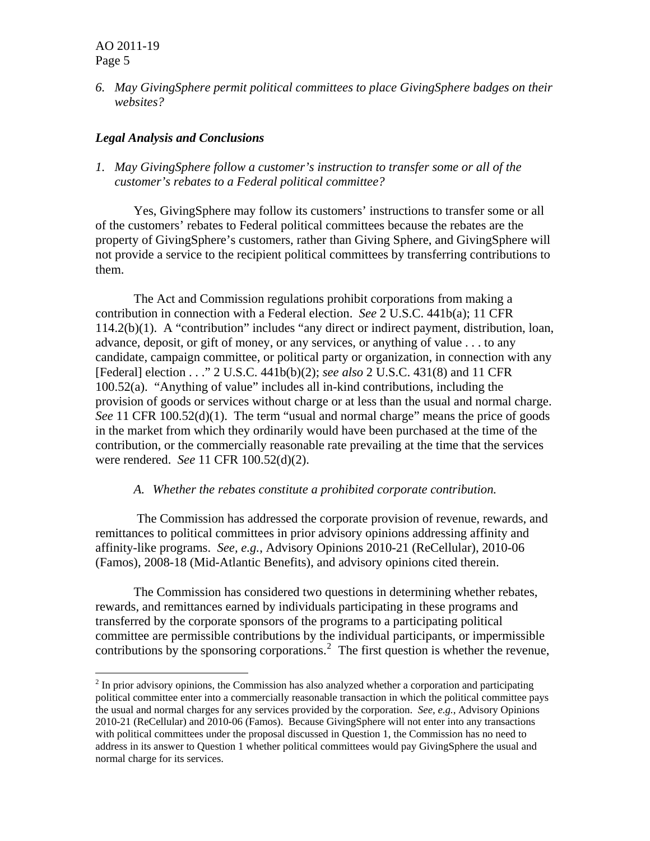$\overline{a}$ 

*6. May GivingSphere permit political committees to place GivingSphere badges on their websites?* 

# *Legal Analysis and Conclusions*

*1. May GivingSphere follow a customer's instruction to transfer some or all of the customer's rebates to a Federal political committee?* 

Yes, GivingSphere may follow its customers' instructions to transfer some or all of the customers' rebates to Federal political committees because the rebates are the property of GivingSphere's customers, rather than Giving Sphere, and GivingSphere will not provide a service to the recipient political committees by transferring contributions to them.

 The Act and Commission regulations prohibit corporations from making a contribution in connection with a Federal election. *See* 2 U.S.C. 441b(a); 11 CFR 114.2(b)(1). A "contribution" includes "any direct or indirect payment, distribution, loan, advance, deposit, or gift of money, or any services, or anything of value . . . to any candidate, campaign committee, or political party or organization, in connection with any [Federal] election . . ." 2 U.S.C. 441b(b)(2); *see also* 2 U.S.C. 431(8) and 11 CFR 100.52(a). "Anything of value" includes all in-kind contributions, including the provision of goods or services without charge or at less than the usual and normal charge. *See* 11 CFR 100.52(d)(1). The term "usual and normal charge" means the price of goods in the market from which they ordinarily would have been purchased at the time of the contribution, or the commercially reasonable rate prevailing at the time that the services were rendered. *See* 11 CFR 100.52(d)(2).

#### *A. Whether the rebates constitute a prohibited corporate contribution.*

 The Commission has addressed the corporate provision of revenue, rewards, and remittances to political committees in prior advisory opinions addressing affinity and affinity-like programs. *See, e.g.*, Advisory Opinions 2010-21 (ReCellular), 2010-06 (Famos), 2008-18 (Mid-Atlantic Benefits), and advisory opinions cited therein.

 The Commission has considered two questions in determining whether rebates, rewards, and remittances earned by individuals participating in these programs and transferred by the corporate sponsors of the programs to a participating political committee are permissible contributions by the individual participants, or impermissible contributions by the sponsoring corporations. $2$  The first question is whether the revenue,

<span id="page-4-0"></span> $2$  In prior advisory opinions, the Commission has also analyzed whether a corporation and participating political committee enter into a commercially reasonable transaction in which the political committee pays the usual and normal charges for any services provided by the corporation. *See, e.g.*, Advisory Opinions 2010-21 (ReCellular) and 2010-06 (Famos). Because GivingSphere will not enter into any transactions with political committees under the proposal discussed in Question 1, the Commission has no need to address in its answer to Question 1 whether political committees would pay GivingSphere the usual and normal charge for its services.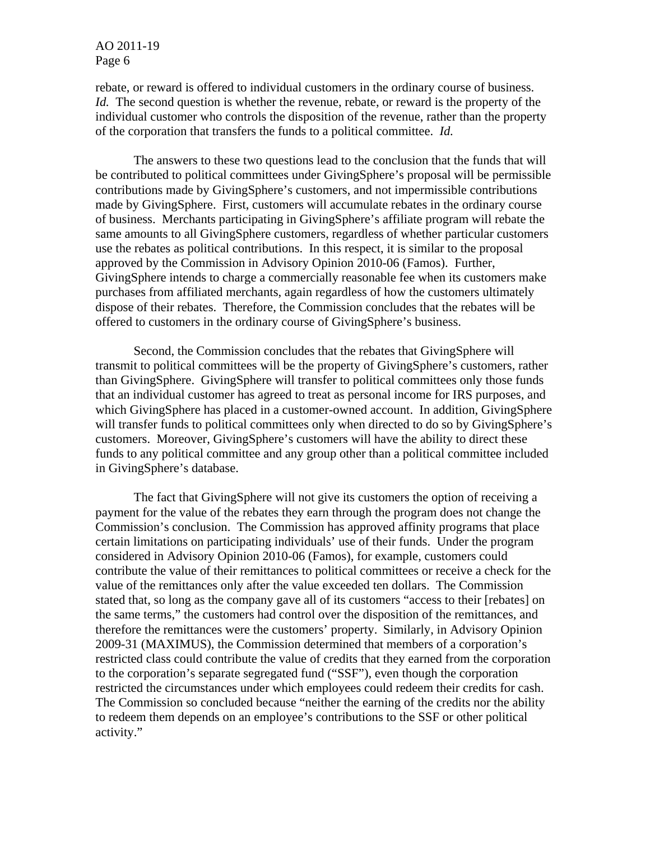rebate, or reward is offered to individual customers in the ordinary course of business. *Id.* The second question is whether the revenue, rebate, or reward is the property of the individual customer who controls the disposition of the revenue, rather than the property of the corporation that transfers the funds to a political committee. *Id.* 

 The answers to these two questions lead to the conclusion that the funds that will be contributed to political committees under GivingSphere's proposal will be permissible contributions made by GivingSphere's customers, and not impermissible contributions made by GivingSphere. First, customers will accumulate rebates in the ordinary course of business. Merchants participating in GivingSphere's affiliate program will rebate the same amounts to all GivingSphere customers, regardless of whether particular customers use the rebates as political contributions. In this respect, it is similar to the proposal approved by the Commission in Advisory Opinion 2010-06 (Famos). Further, GivingSphere intends to charge a commercially reasonable fee when its customers make purchases from affiliated merchants, again regardless of how the customers ultimately dispose of their rebates. Therefore, the Commission concludes that the rebates will be offered to customers in the ordinary course of GivingSphere's business.

Second, the Commission concludes that the rebates that GivingSphere will transmit to political committees will be the property of GivingSphere's customers, rather than GivingSphere. GivingSphere will transfer to political committees only those funds that an individual customer has agreed to treat as personal income for IRS purposes, and which GivingSphere has placed in a customer-owned account. In addition, GivingSphere will transfer funds to political committees only when directed to do so by GivingSphere's customers. Moreover, GivingSphere's customers will have the ability to direct these funds to any political committee and any group other than a political committee included in GivingSphere's database.

The fact that GivingSphere will not give its customers the option of receiving a payment for the value of the rebates they earn through the program does not change the Commission's conclusion. The Commission has approved affinity programs that place certain limitations on participating individuals' use of their funds. Under the program considered in Advisory Opinion 2010-06 (Famos), for example, customers could contribute the value of their remittances to political committees or receive a check for the value of the remittances only after the value exceeded ten dollars. The Commission stated that, so long as the company gave all of its customers "access to their [rebates] on the same terms," the customers had control over the disposition of the remittances, and therefore the remittances were the customers' property. Similarly, in Advisory Opinion 2009-31 (MAXIMUS), the Commission determined that members of a corporation's restricted class could contribute the value of credits that they earned from the corporation to the corporation's separate segregated fund ("SSF"), even though the corporation restricted the circumstances under which employees could redeem their credits for cash. The Commission so concluded because "neither the earning of the credits nor the ability to redeem them depends on an employee's contributions to the SSF or other political activity."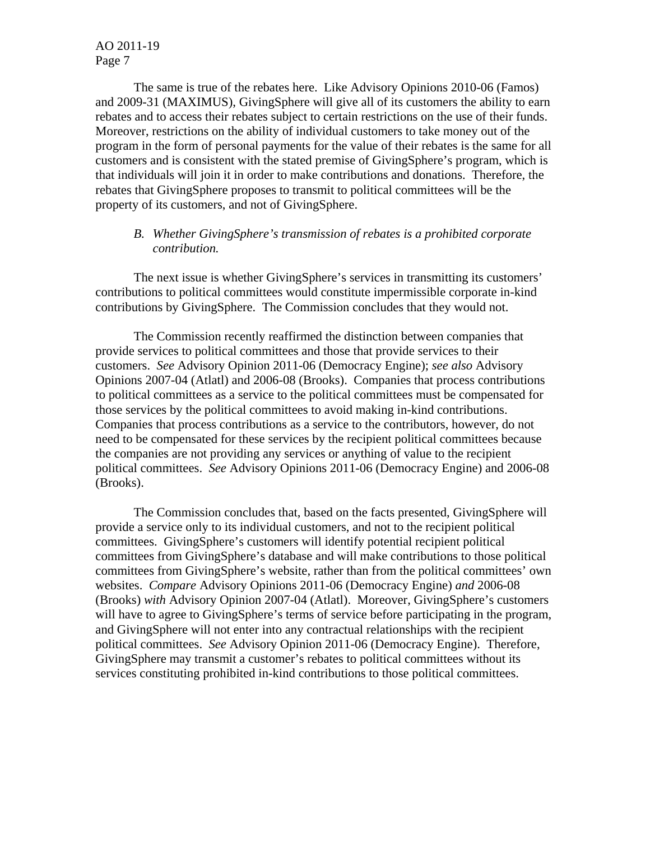The same is true of the rebates here. Like Advisory Opinions 2010-06 (Famos) and 2009-31 (MAXIMUS), GivingSphere will give all of its customers the ability to earn rebates and to access their rebates subject to certain restrictions on the use of their funds. Moreover, restrictions on the ability of individual customers to take money out of the program in the form of personal payments for the value of their rebates is the same for all customers and is consistent with the stated premise of GivingSphere's program, which is that individuals will join it in order to make contributions and donations. Therefore, the rebates that GivingSphere proposes to transmit to political committees will be the property of its customers, and not of GivingSphere.

# *B. Whether GivingSphere's transmission of rebates is a prohibited corporate contribution.*

The next issue is whether GivingSphere's services in transmitting its customers' contributions to political committees would constitute impermissible corporate in-kind contributions by GivingSphere. The Commission concludes that they would not.

The Commission recently reaffirmed the distinction between companies that provide services to political committees and those that provide services to their customers. *See* Advisory Opinion 2011-06 (Democracy Engine); *see also* Advisory Opinions 2007-04 (Atlatl) and 2006-08 (Brooks). Companies that process contributions to political committees as a service to the political committees must be compensated for those services by the political committees to avoid making in-kind contributions. Companies that process contributions as a service to the contributors, however, do not need to be compensated for these services by the recipient political committees because the companies are not providing any services or anything of value to the recipient political committees. *See* Advisory Opinions 2011-06 (Democracy Engine) and 2006-08 (Brooks).

The Commission concludes that, based on the facts presented, GivingSphere will provide a service only to its individual customers, and not to the recipient political committees. GivingSphere's customers will identify potential recipient political committees from GivingSphere's database and will make contributions to those political committees from GivingSphere's website, rather than from the political committees' own websites. *Compare* Advisory Opinions 2011-06 (Democracy Engine) *and* 2006-08 (Brooks) *with* Advisory Opinion 2007-04 (Atlatl). Moreover, GivingSphere's customers will have to agree to GivingSphere's terms of service before participating in the program, and GivingSphere will not enter into any contractual relationships with the recipient political committees. *See* Advisory Opinion 2011-06 (Democracy Engine). Therefore, GivingSphere may transmit a customer's rebates to political committees without its services constituting prohibited in-kind contributions to those political committees.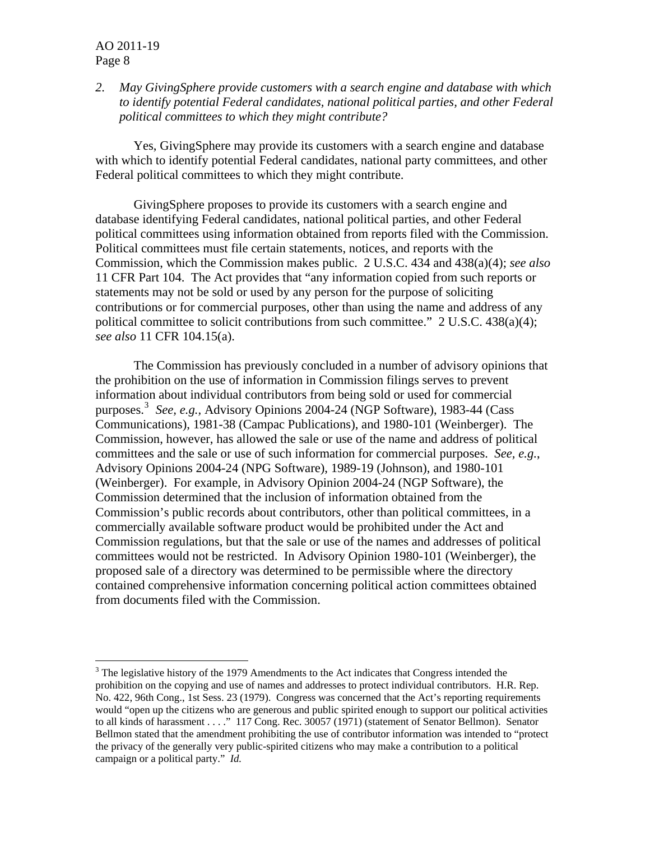$\overline{a}$ 

*2. May GivingSphere provide customers with a search engine and database with which to identify potential Federal candidates, national political parties, and other Federal political committees to which they might contribute?*

Yes, GivingSphere may provide its customers with a search engine and database with which to identify potential Federal candidates, national party committees, and other Federal political committees to which they might contribute.

GivingSphere proposes to provide its customers with a search engine and database identifying Federal candidates, national political parties, and other Federal political committees using information obtained from reports filed with the Commission. Political committees must file certain statements, notices, and reports with the Commission, which the Commission makes public. 2 U.S.C. 434 and 438(a)(4); *see also* 11 CFR Part 104. The Act provides that "any information copied from such reports or statements may not be sold or used by any person for the purpose of soliciting contributions or for commercial purposes, other than using the name and address of any political committee to solicit contributions from such committee." 2 U.S.C. 438(a)(4); *see also* 11 CFR 104.15(a).

The Commission has previously concluded in a number of advisory opinions that the prohibition on the use of information in Commission filings serves to prevent information about individual contributors from being sold or used for commercial purposes.[3](#page-7-0) *See, e.g.,* Advisory Opinions 2004-24 (NGP Software), 1983-44 (Cass Communications), 1981-38 (Campac Publications), and 1980-101 (Weinberger). The Commission, however, has allowed the sale or use of the name and address of political committees and the sale or use of such information for commercial purposes. *See, e.g.*, Advisory Opinions 2004-24 (NPG Software), 1989-19 (Johnson), and 1980-101 (Weinberger). For example, in Advisory Opinion 2004-24 (NGP Software), the Commission determined that the inclusion of information obtained from the Commission's public records about contributors, other than political committees, in a commercially available software product would be prohibited under the Act and Commission regulations, but that the sale or use of the names and addresses of political committees would not be restricted. In Advisory Opinion 1980-101 (Weinberger), the proposed sale of a directory was determined to be permissible where the directory contained comprehensive information concerning political action committees obtained from documents filed with the Commission.

<span id="page-7-0"></span> $3$  The legislative history of the 1979 Amendments to the Act indicates that Congress intended the prohibition on the copying and use of names and addresses to protect individual contributors. H.R. Rep. No. 422, 96th Cong., 1st Sess. 23 (1979). Congress was concerned that the Act's reporting requirements would "open up the citizens who are generous and public spirited enough to support our political activities to all kinds of harassment . . . ." 117 Cong. Rec. 30057 (1971) (statement of Senator Bellmon). Senator Bellmon stated that the amendment prohibiting the use of contributor information was intended to "protect the privacy of the generally very public-spirited citizens who may make a contribution to a political campaign or a political party." *Id.*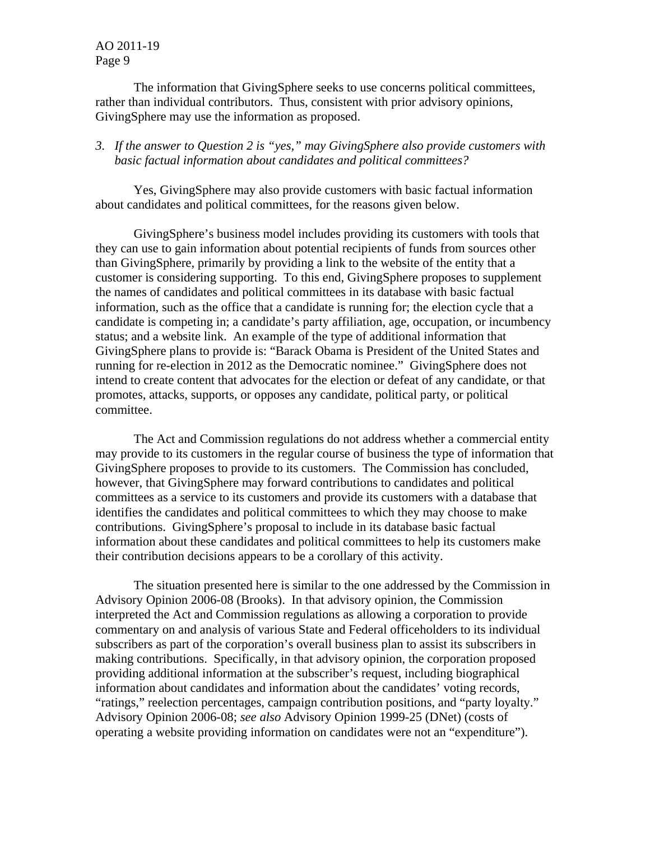The information that GivingSphere seeks to use concerns political committees, rather than individual contributors. Thus, consistent with prior advisory opinions, GivingSphere may use the information as proposed.

# *3. If the answer to Question 2 is "yes," may GivingSphere also provide customers with basic factual information about candidates and political committees?*

Yes, GivingSphere may also provide customers with basic factual information about candidates and political committees, for the reasons given below.

GivingSphere's business model includes providing its customers with tools that they can use to gain information about potential recipients of funds from sources other than GivingSphere, primarily by providing a link to the website of the entity that a customer is considering supporting. To this end, GivingSphere proposes to supplement the names of candidates and political committees in its database with basic factual information, such as the office that a candidate is running for; the election cycle that a candidate is competing in; a candidate's party affiliation, age, occupation, or incumbency status; and a website link. An example of the type of additional information that GivingSphere plans to provide is: "Barack Obama is President of the United States and running for re-election in 2012 as the Democratic nominee." GivingSphere does not intend to create content that advocates for the election or defeat of any candidate, or that promotes, attacks, supports, or opposes any candidate, political party, or political committee.

The Act and Commission regulations do not address whether a commercial entity may provide to its customers in the regular course of business the type of information that GivingSphere proposes to provide to its customers. The Commission has concluded, however, that GivingSphere may forward contributions to candidates and political committees as a service to its customers and provide its customers with a database that identifies the candidates and political committees to which they may choose to make contributions. GivingSphere's proposal to include in its database basic factual information about these candidates and political committees to help its customers make their contribution decisions appears to be a corollary of this activity.

The situation presented here is similar to the one addressed by the Commission in Advisory Opinion 2006-08 (Brooks). In that advisory opinion, the Commission interpreted the Act and Commission regulations as allowing a corporation to provide commentary on and analysis of various State and Federal officeholders to its individual subscribers as part of the corporation's overall business plan to assist its subscribers in making contributions. Specifically, in that advisory opinion, the corporation proposed providing additional information at the subscriber's request, including biographical information about candidates and information about the candidates' voting records, "ratings," reelection percentages, campaign contribution positions, and "party loyalty." Advisory Opinion 2006-08; *see also* Advisory Opinion 1999-25 (DNet) (costs of operating a website providing information on candidates were not an "expenditure").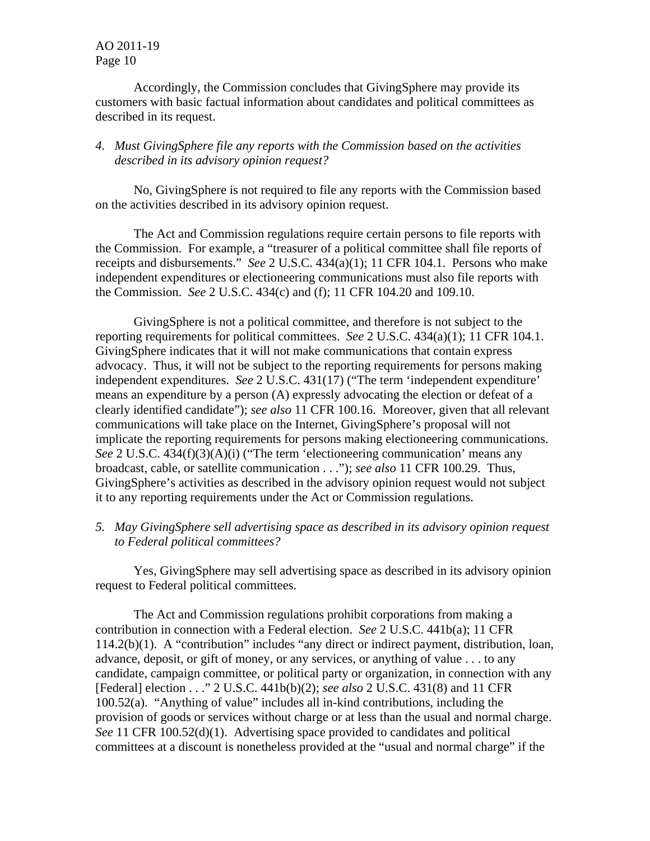Accordingly, the Commission concludes that GivingSphere may provide its customers with basic factual information about candidates and political committees as described in its request.

#### *4. Must GivingSphere file any reports with the Commission based on the activities described in its advisory opinion request?*

No, GivingSphere is not required to file any reports with the Commission based on the activities described in its advisory opinion request.

 The Act and Commission regulations require certain persons to file reports with the Commission. For example, a "treasurer of a political committee shall file reports of receipts and disbursements." *See* 2 U.S.C. 434(a)(1); 11 CFR 104.1. Persons who make independent expenditures or electioneering communications must also file reports with the Commission. *See* 2 U.S.C. 434(c) and (f); 11 CFR 104.20 and 109.10.

 GivingSphere is not a political committee, and therefore is not subject to the reporting requirements for political committees. *See* 2 U.S.C. 434(a)(1); 11 CFR 104.1. GivingSphere indicates that it will not make communications that contain express advocacy. Thus, it will not be subject to the reporting requirements for persons making independent expenditures. *See* 2 U.S.C. 431(17) ("The term 'independent expenditure' means an expenditure by a person (A) expressly advocating the election or defeat of a clearly identified candidate"); *see also* 11 CFR 100.16. Moreover, given that all relevant communications will take place on the Internet, GivingSphere's proposal will not implicate the reporting requirements for persons making electioneering communications. *See* 2 U.S.C. 434(f)(3)(A)(i) ("The term 'electioneering communication' means any broadcast, cable, or satellite communication . . ."); *see also* 11 CFR 100.29. Thus, GivingSphere's activities as described in the advisory opinion request would not subject it to any reporting requirements under the Act or Commission regulations.

*5. May GivingSphere sell advertising space as described in its advisory opinion request to Federal political committees?*

Yes, GivingSphere may sell advertising space as described in its advisory opinion request to Federal political committees.

The Act and Commission regulations prohibit corporations from making a contribution in connection with a Federal election. *See* 2 U.S.C. 441b(a); 11 CFR 114.2(b)(1). A "contribution" includes "any direct or indirect payment, distribution, loan, advance, deposit, or gift of money, or any services, or anything of value . . . to any candidate, campaign committee, or political party or organization, in connection with any [Federal] election . . ." 2 U.S.C. 441b(b)(2); *see also* 2 U.S.C. 431(8) and 11 CFR 100.52(a). "Anything of value" includes all in-kind contributions, including the provision of goods or services without charge or at less than the usual and normal charge. *See* 11 CFR 100.52(d)(1). Advertising space provided to candidates and political committees at a discount is nonetheless provided at the "usual and normal charge" if the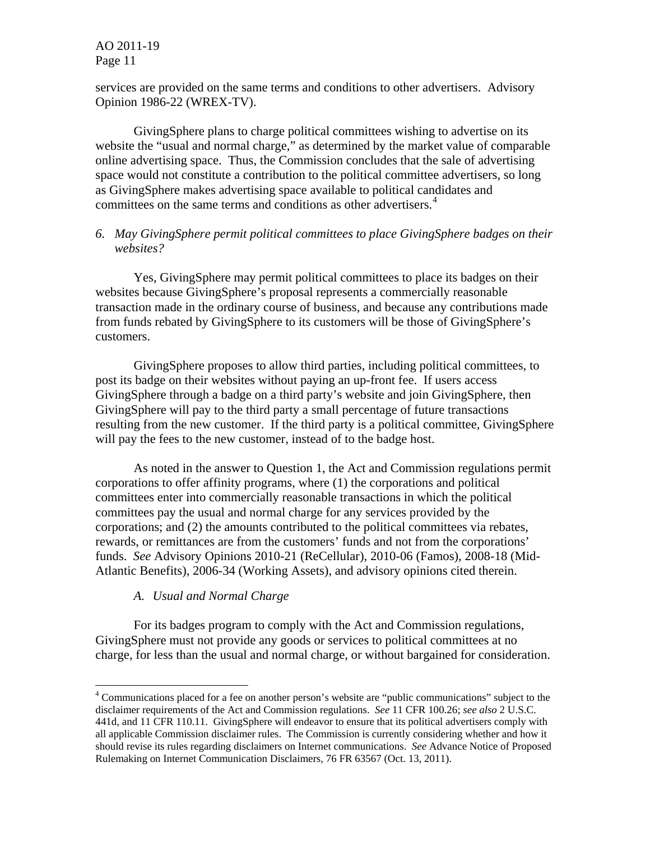services are provided on the same terms and conditions to other advertisers. Advisory Opinion 1986-22 (WREX-TV).

GivingSphere plans to charge political committees wishing to advertise on its website the "usual and normal charge," as determined by the market value of comparable online advertising space. Thus, the Commission concludes that the sale of advertising space would not constitute a contribution to the political committee advertisers, so long as GivingSphere makes advertising space available to political candidates and committees on the same terms and conditions as other advertisers.<sup>[4](#page-10-0)</sup>

## *6. May GivingSphere permit political committees to place GivingSphere badges on their websites?*

Yes, GivingSphere may permit political committees to place its badges on their websites because GivingSphere's proposal represents a commercially reasonable transaction made in the ordinary course of business, and because any contributions made from funds rebated by GivingSphere to its customers will be those of GivingSphere's customers.

 GivingSphere proposes to allow third parties, including political committees, to post its badge on their websites without paying an up-front fee. If users access GivingSphere through a badge on a third party's website and join GivingSphere, then GivingSphere will pay to the third party a small percentage of future transactions resulting from the new customer. If the third party is a political committee, GivingSphere will pay the fees to the new customer, instead of to the badge host.

As noted in the answer to Question 1, the Act and Commission regulations permit corporations to offer affinity programs, where (1) the corporations and political committees enter into commercially reasonable transactions in which the political committees pay the usual and normal charge for any services provided by the corporations; and (2) the amounts contributed to the political committees via rebates, rewards, or remittances are from the customers' funds and not from the corporations' funds. *See* Advisory Opinions 2010-21 (ReCellular), 2010-06 (Famos), 2008-18 (Mid-Atlantic Benefits), 2006-34 (Working Assets), and advisory opinions cited therein.

## *A. Usual and Normal Charge*

 $\overline{a}$ 

 For its badges program to comply with the Act and Commission regulations, GivingSphere must not provide any goods or services to political committees at no charge, for less than the usual and normal charge, or without bargained for consideration.

<span id="page-10-0"></span><sup>&</sup>lt;sup>4</sup> Communications placed for a fee on another person's website are "public communications" subject to the disclaimer requirements of the Act and Commission regulations. *See* 11 CFR 100.26; *see also* 2 U.S.C. 441d, and 11 CFR 110.11. GivingSphere will endeavor to ensure that its political advertisers comply with all applicable Commission disclaimer rules. The Commission is currently considering whether and how it should revise its rules regarding disclaimers on Internet communications. *See* Advance Notice of Proposed Rulemaking on Internet Communication Disclaimers, 76 FR 63567 (Oct. 13, 2011).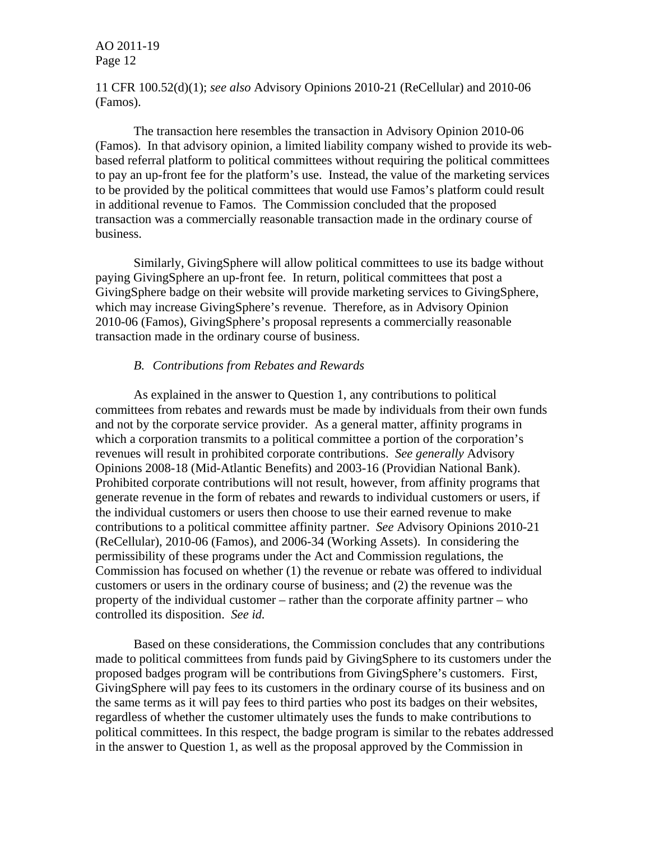11 CFR 100.52(d)(1); *see also* Advisory Opinions 2010-21 (ReCellular) and 2010-06 (Famos).

The transaction here resembles the transaction in Advisory Opinion 2010-06 (Famos). In that advisory opinion, a limited liability company wished to provide its webbased referral platform to political committees without requiring the political committees to pay an up-front fee for the platform's use. Instead, the value of the marketing services to be provided by the political committees that would use Famos's platform could result in additional revenue to Famos. The Commission concluded that the proposed transaction was a commercially reasonable transaction made in the ordinary course of business.

Similarly, GivingSphere will allow political committees to use its badge without paying GivingSphere an up-front fee. In return, political committees that post a GivingSphere badge on their website will provide marketing services to GivingSphere, which may increase GivingSphere's revenue. Therefore, as in Advisory Opinion 2010-06 (Famos), GivingSphere's proposal represents a commercially reasonable transaction made in the ordinary course of business.

#### *B. Contributions from Rebates and Rewards*

As explained in the answer to Question 1, any contributions to political committees from rebates and rewards must be made by individuals from their own funds and not by the corporate service provider. As a general matter, affinity programs in which a corporation transmits to a political committee a portion of the corporation's revenues will result in prohibited corporate contributions. *See generally* Advisory Opinions 2008-18 (Mid-Atlantic Benefits) and 2003-16 (Providian National Bank). Prohibited corporate contributions will not result, however, from affinity programs that generate revenue in the form of rebates and rewards to individual customers or users, if the individual customers or users then choose to use their earned revenue to make contributions to a political committee affinity partner. *See* Advisory Opinions 2010-21 (ReCellular), 2010-06 (Famos), and 2006-34 (Working Assets). In considering the permissibility of these programs under the Act and Commission regulations, the Commission has focused on whether (1) the revenue or rebate was offered to individual customers or users in the ordinary course of business; and (2) the revenue was the property of the individual customer – rather than the corporate affinity partner – who controlled its disposition. *See id.* 

 Based on these considerations, the Commission concludes that any contributions made to political committees from funds paid by GivingSphere to its customers under the proposed badges program will be contributions from GivingSphere's customers. First, GivingSphere will pay fees to its customers in the ordinary course of its business and on the same terms as it will pay fees to third parties who post its badges on their websites, regardless of whether the customer ultimately uses the funds to make contributions to political committees. In this respect, the badge program is similar to the rebates addressed in the answer to Question 1, as well as the proposal approved by the Commission in